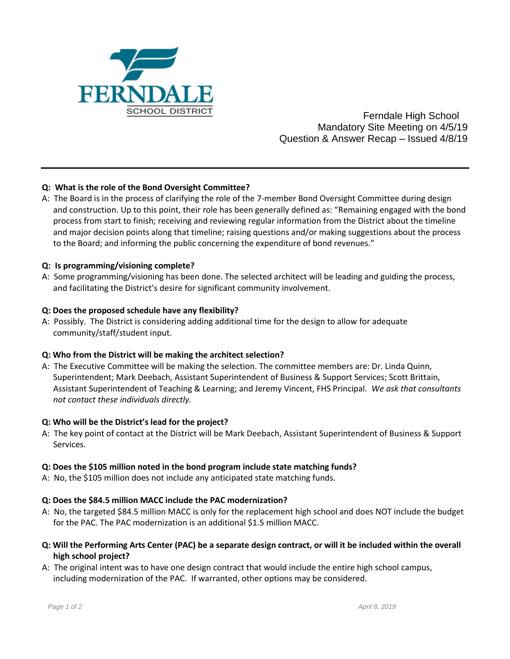

 Ferndale High School Mandatory Site Meeting on 4/5/19 Question & Answer Recap – Issued 4/8/19

# **Q: What is the role of the Bond Oversight Committee?**

A: The Board is in the process of clarifying the role of the 7-member Bond Oversight Committee during design and construction. Up to this point, their role has been generally defined as: "Remaining engaged with the bond process from start to finish; receiving and reviewing regular information from the District about the timeline and major decision points along that timeline; raising questions and/or making suggestions about the process to the Board; and informing the public concerning the expenditure of bond revenues."

# **Q: Is programming/visioning complete?**

A: Some programming/visioning has been done. The selected architect will be leading and guiding the process, and facilitating the District's desire for significant community involvement.

# **Q: Does the proposed schedule have any flexibility?**

A: Possibly. The District is considering adding additional time for the design to allow for adequate community/staff/student input.

### **Q: Who from the District will be making the architect selection?**

A: The Executive Committee will be making the selection. The committee members are: Dr. Linda Quinn, Superintendent; Mark Deebach, Assistant Superintendent of Business & Support Services; Scott Brittain, Assistant Superintendent of Teaching & Learning; and Jeremy Vincent, FHS Principal. *We ask that consultants not contact these individuals directly.*

### **Q: Who will be the District's lead for the project?**

A: The key point of contact at the District will be Mark Deebach, Assistant Superintendent of Business & Support Services.

# **Q: Does the \$105 million noted in the bond program include state matching funds?**

A: No, the \$105 million does not include any anticipated state matching funds.

# **Q: Does the \$84.5 million MACC include the PAC modernization?**

- A: No, the targeted \$84.5 million MACC is only for the replacement high school and does NOT include the budget for the PAC. The PAC modernization is an additional \$1.5 million MACC.
- **Q: Will the Performing Arts Center (PAC) be a separate design contract, or will it be included within the overall high school project?**
- A: The original intent was to have one design contract that would include the entire high school campus, including modernization of the PAC. If warranted, other options may be considered.